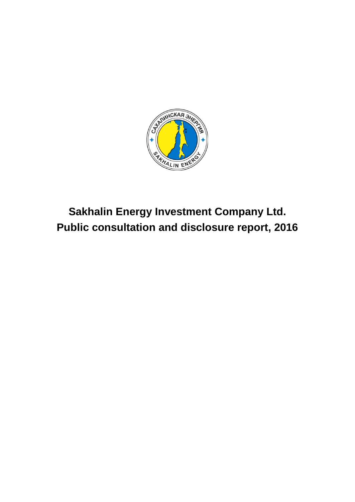

**Sakhalin Energy Investment Company Ltd. Public consultation and disclosure report, 2016**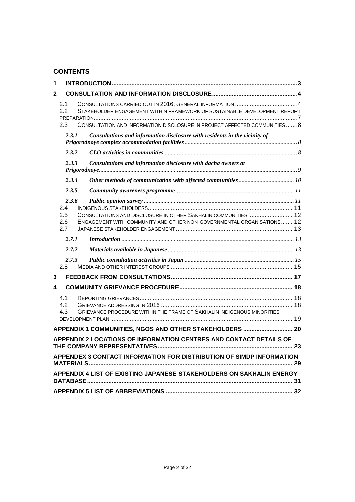# **CONTENTS**

| 1                                 |                                                                                                                                        |    |
|-----------------------------------|----------------------------------------------------------------------------------------------------------------------------------------|----|
| $\mathbf{2}$                      |                                                                                                                                        |    |
| 2.1<br>2.2                        | STAKEHOLDER ENGAGEMENT WITHIN FRAMEWORK OF SUSTAINABLE DEVELOPMENT REPORT                                                              |    |
| 2.3                               | CONSULTATION AND INFORMATION DISCLOSURE IN PROJECT AFFECTED COMMUNITIES8                                                               |    |
| 2.3.1                             | Consultations and information disclosure with residents in the vicinity of                                                             |    |
| 2.3.2                             |                                                                                                                                        |    |
| 2.3.3                             | Consultations and information disclosure with dacha owners at                                                                          |    |
| 2.3.4                             |                                                                                                                                        |    |
| 2.3.5                             |                                                                                                                                        |    |
| 2.3.6<br>2.4<br>2.5<br>2.6<br>2.7 | CONSULTATIONS AND DISCLOSURE IN OTHER SAKHALIN COMMUNITIES 12<br>ENGAGEMENT WITH COMMUNITY AND OTHER NON-GOVERNMENTAL ORGANISATIONS 12 |    |
| 2.7.1                             |                                                                                                                                        |    |
| 2.7.2                             |                                                                                                                                        |    |
| 2.7.3<br>2.8                      |                                                                                                                                        |    |
| 3                                 |                                                                                                                                        |    |
| 4                                 |                                                                                                                                        |    |
| 4.1<br>4.2<br>4.3                 | GRIEVANCE PROCEDURE WITHIN THE FRAME OF SAKHALIN INDIGENOUS MINORITIES                                                                 |    |
|                                   |                                                                                                                                        |    |
|                                   | APPENDIX 1 COMMUNITIES, NGOS AND OTHER STAKEHOLDERS  20                                                                                |    |
|                                   | APPENDIX 2 LOCATIONS OF INFORMATION CENTRES AND CONTACT DETAILS OF<br>THE COMPANY REPRESENTATIVES                                      | 23 |
|                                   | APPENDEX 3 CONTACT INFORMATION FOR DISTRIBUTION OF SIMDP INFORMATION                                                                   |    |
|                                   | APPENDIX 4 LIST OF EXISTING JAPANESE STAKEHOLDERS ON SAKHALIN ENERGY                                                                   |    |
|                                   |                                                                                                                                        |    |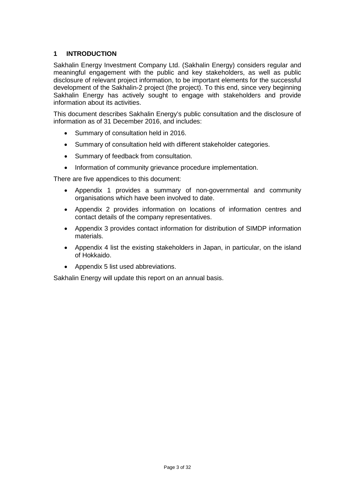## <span id="page-2-0"></span>**1 INTRODUCTION**

Sakhalin Energy Investment Company Ltd. (Sakhalin Energy) considers regular and meaningful engagement with the public and key stakeholders, as well as public disclosure of relevant project information, to be important elements for the successful development of the Sakhalin-2 project (the project). To this end, since very beginning Sakhalin Energy has actively sought to engage with stakeholders and provide information about its activities.

This document describes Sakhalin Energy's public consultation and the disclosure of information as of 31 December 2016, and includes:

- Summary of consultation held in 2016.
- Summary of consultation held with different stakeholder categories.
- Summary of feedback from consultation.
- Information of community grievance procedure implementation.

There are five appendices to this document:

- Appendix 1 provides a summary of non-governmental and community organisations which have been involved to date.
- Appendix 2 provides information on locations of information centres and contact details of the company representatives.
- Appendix 3 provides contact information for distribution of SIMDP information materials.
- Appendix 4 list the existing stakeholders in Japan, in particular, on the island of Hokkaido.
- Appendix 5 list used abbreviations.

Sakhalin Energy will update this report on an annual basis.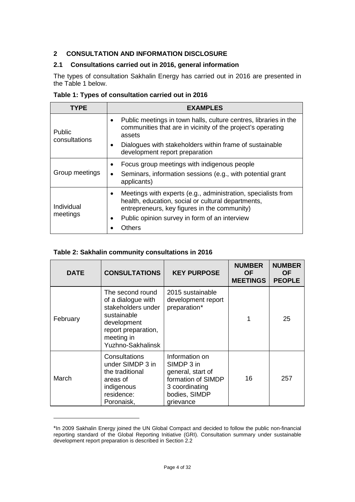# <span id="page-3-0"></span>**2 CONSULTATION AND INFORMATION DISCLOSURE**

# <span id="page-3-1"></span>**2.1 Consultations carried out in 2016, general information**

The types of consultation Sakhalin Energy has carried out in 2016 are presented in the Table 1 below.

| TYPE           | <b>EXAMPLES</b>                                                                                                                                                                  |
|----------------|----------------------------------------------------------------------------------------------------------------------------------------------------------------------------------|
| Public         | Public meetings in town halls, culture centres, libraries in the<br>$\bullet$<br>communities that are in vicinity of the project's operating<br>assets                           |
| consultations  | Dialogues with stakeholders within frame of sustainable<br>$\bullet$<br>development report preparation                                                                           |
|                | Focus group meetings with indigenous people<br>$\bullet$                                                                                                                         |
| Group meetings | Seminars, information sessions (e.g., with potential grant<br>applicants)                                                                                                        |
| Individual     | Meetings with experts (e.g., administration, specialists from<br>$\bullet$<br>health, education, social or cultural departments,<br>entrepreneurs, key figures in the community) |
| meetings       | Public opinion survey in form of an interview<br>$\bullet$                                                                                                                       |
|                | Others                                                                                                                                                                           |

## **Table 1: Types of consultation carried out in 2016**

#### **Table 2: Sakhalin community consultations in 2016**

-

| <b>DATE</b> | <b>CONSULTATIONS</b>                                                                                                                                 | <b>KEY PURPOSE</b>                                                                                                      | <b>NUMBER</b><br><b>OF</b><br><b>MEETINGS</b> | <b>NUMBER</b><br><b>OF</b><br><b>PEOPLE</b> |
|-------------|------------------------------------------------------------------------------------------------------------------------------------------------------|-------------------------------------------------------------------------------------------------------------------------|-----------------------------------------------|---------------------------------------------|
| February    | The second round<br>of a dialogue with<br>stakeholders under<br>sustainable<br>development<br>report preparation,<br>meeting in<br>Yuzhno-Sakhalinsk | 2015 sustainable<br>development report<br>preparation*                                                                  |                                               | 25                                          |
| March       | Consultations<br>under SIMDP 3 in<br>the traditional<br>areas of<br>indigenous<br>residence:<br>Poronaisk,                                           | Information on<br>SIMDP 3 in<br>general, start of<br>formation of SIMDP<br>3 coordinating<br>bodies, SIMDP<br>grievance | 16                                            | 257                                         |

<span id="page-3-2"></span><sup>\*</sup>In 2009 Sakhalin Energy joined the UN Global Compact and decided to follow the public non-financial reporting standard of the Global Reporting Initiative (GRI). Consultation summary under sustainable development report preparation is described in Section 2.2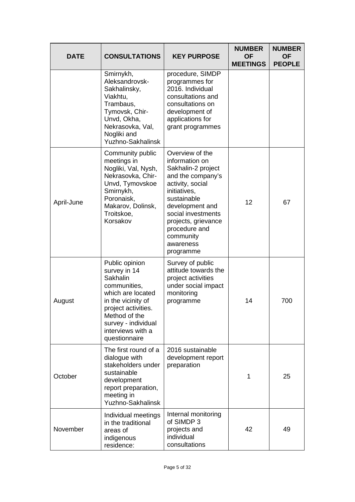| <b>DATE</b> | <b>CONSULTATIONS</b>                                                                                                                                                                                       | <b>KEY PURPOSE</b>                                                                                                                                                                                                                                      | <b>NUMBER</b><br><b>OF</b><br><b>MEETINGS</b> | <b>NUMBER</b><br><b>OF</b><br><b>PEOPLE</b> |
|-------------|------------------------------------------------------------------------------------------------------------------------------------------------------------------------------------------------------------|---------------------------------------------------------------------------------------------------------------------------------------------------------------------------------------------------------------------------------------------------------|-----------------------------------------------|---------------------------------------------|
|             | Smirnykh,<br>Aleksandrovsk-<br>Sakhalinsky,<br>Viakhtu,<br>Trambaus,<br>Tymovsk, Chir-<br>Unvd, Okha,<br>Nekrasovka, Val,<br>Nogliki and<br><b>Yuzhno-Sakhalinsk</b>                                       | procedure, SIMDP<br>programmes for<br>2016. Individual<br>consultations and<br>consultations on<br>development of<br>applications for<br>grant programmes                                                                                               |                                               |                                             |
| April-June  | Community public<br>meetings in<br>Nogliki, Val, Nysh,<br>Nekrasovka, Chir-<br>Unvd, Tymovskoe<br>Smirnykh,<br>Poronaisk,<br>Makarov, Dolinsk,<br>Troitskoe,<br>Korsakov                                   | Overview of the<br>information on<br>Sakhalin-2 project<br>and the company's<br>activity, social<br>initiatives.<br>sustainable<br>development and<br>social investments<br>projects, grievance<br>procedure and<br>community<br>awareness<br>programme | 12                                            | 67                                          |
| August      | Public opinion<br>survey in 14<br>Sakhalin<br>communities,<br>which are located<br>in the vicinity of<br>project activities.<br>Method of the<br>survey - individual<br>interviews with a<br>questionnaire | Survey of public<br>attitude towards the<br>project activities<br>under social impact<br>monitoring<br>programme                                                                                                                                        | 14                                            | 700                                         |
| October     | The first round of a<br>dialogue with<br>stakeholders under<br>sustainable<br>development<br>report preparation,<br>meeting in<br>Yuzhno-Sakhalinsk                                                        | 2016 sustainable<br>development report<br>preparation                                                                                                                                                                                                   | 1                                             | 25                                          |
| November    | Individual meetings<br>in the traditional<br>areas of<br>indigenous<br>residence:                                                                                                                          | Internal monitoring<br>of SIMDP 3<br>projects and<br>individual<br>consultations                                                                                                                                                                        | 42                                            | 49                                          |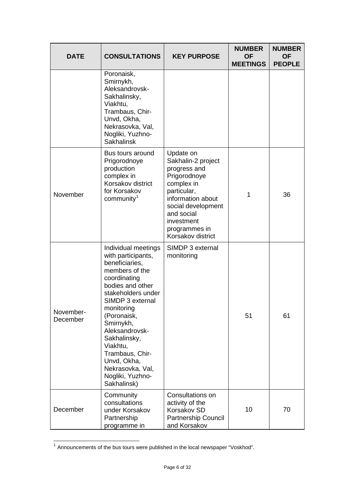| <b>DATE</b>           | <b>CONSULTATIONS</b>                                                                                                                                                                                                                                                                                                                         | <b>KEY PURPOSE</b>                                                                                                                                                                                        | <b>NUMBER</b><br><b>OF</b><br><b>MEETINGS</b> | <b>NUMBER</b><br><b>OF</b><br><b>PEOPLE</b> |
|-----------------------|----------------------------------------------------------------------------------------------------------------------------------------------------------------------------------------------------------------------------------------------------------------------------------------------------------------------------------------------|-----------------------------------------------------------------------------------------------------------------------------------------------------------------------------------------------------------|-----------------------------------------------|---------------------------------------------|
|                       | Poronaisk,<br>Smirnykh,<br>Aleksandrovsk-<br>Sakhalinsky,<br>Viakhtu,<br>Trambaus, Chir-<br>Unvd, Okha,<br>Nekrasovka, Val,<br>Nogliki, Yuzhno-<br><b>Sakhalinsk</b>                                                                                                                                                                         |                                                                                                                                                                                                           |                                               |                                             |
| November              | Bus tours around<br>Prigorodnoye<br>production<br>complex in<br>Korsakov district<br>for Korsakov<br>community <sup>1</sup>                                                                                                                                                                                                                  | Update on<br>Sakhalin-2 project<br>progress and<br>Prigorodnoye<br>complex in<br>particular,<br>information about<br>social development<br>and social<br>investment<br>programmes in<br>Korsakov district | 1                                             | 36                                          |
| November-<br>December | Individual meetings<br>with participants,<br>beneficiaries,<br>members of the<br>coordinating<br>bodies and other<br>stakeholders under<br>SIMDP 3 external<br>monitoring<br>(Poronaisk,<br>Smirnykh,<br>Aleksandrovsk-<br>Sakhalinsky,<br>Viakhtu,<br>Trambaus, Chir-<br>Unvd, Okha,<br>Nekrasovka, Val,<br>Nogliki, Yuzhno-<br>Sakhalinsk) | SIMDP 3 external<br>monitoring                                                                                                                                                                            | 51                                            | 61                                          |
| December              | Community<br>consultations<br>under Korsakov<br>Partnership<br>programme in                                                                                                                                                                                                                                                                  | Consultations on<br>activity of the<br>Korsakov SD<br><b>Partnership Council</b><br>and Korsakov                                                                                                          | 10                                            | 70                                          |

<span id="page-5-0"></span> $1$  Announcements of the bus tours were published in the local newspaper "Voskhod".

j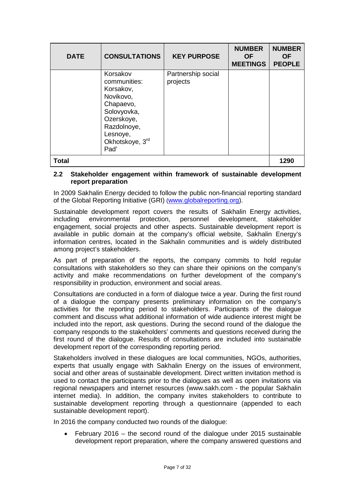| <b>DATE</b>  | <b>CONSULTATIONS</b>                                                                                                                               | <b>KEY PURPOSE</b>             | <b>NUMBER</b><br><b>OF</b><br><b>MEETINGS</b> | <b>NUMBER</b><br><b>OF</b><br><b>PEOPLE</b> |
|--------------|----------------------------------------------------------------------------------------------------------------------------------------------------|--------------------------------|-----------------------------------------------|---------------------------------------------|
|              | Korsakov<br>communities:<br>Korsakov,<br>Novikovo,<br>Chapaevo,<br>Solovyovka,<br>Ozerskoye,<br>Razdolnoye,<br>Lesnoye,<br>Okhotskoye, 3rd<br>Pad' | Partnership social<br>projects |                                               |                                             |
| <b>Total</b> |                                                                                                                                                    |                                |                                               | 1290                                        |

#### <span id="page-6-0"></span>**2.2 Stakeholder engagement within framework of sustainable development report preparation**

In 2009 Sakhalin Energy decided to follow the public non-financial reporting standard of the Global Reporting Initiative (GRI) [\(www.globalreporting.org\)](http://www.globalreporting.org/).

Sustainable development report covers the results of Sakhalin Energy activities, including environmental protection. personnel development. stakeholder including environmental protection, personnel development, stakeholder engagement, social projects and other aspects. Sustainable development report is available in public domain at the company's official website, Sakhalin Energy's information centres, located in the Sakhalin communities and is widely distributed among project's stakeholders.

As part of preparation of the reports, the company commits to hold regular consultations with stakeholders so they can share their opinions on the company's activity and make recommendations on further development of the company's responsibility in production, environment and social areas.

Consultations are conducted in a form of dialogue twice a year. During the first round of a dialogue the company presents preliminary information on the company's activities for the reporting period to stakeholders. Participants of the dialogue comment and discuss what additional information of wide audience interest might be included into the report, ask questions. During the second round of the dialogue the company responds to the stakeholders' comments and questions received during the first round of the dialogue. Results of consultations are included into sustainable development report of the corresponding reporting period.

Stakeholders involved in these dialogues are local communities, NGOs, authorities, experts that usually engage with Sakhalin Energy on the issues of environment, social and other areas of sustainable development. Direct written invitation method is used to contact the participants prior to the dialogues as well as open invitations via regional newspapers and internet resources (www.sakh.com - the popular Sakhalin internet media). In addition, the company invites stakeholders to contribute to sustainable development reporting through a questionnaire (appended to each sustainable development report).

In 2016 the company conducted two rounds of the dialogue:

• February 2016 – the second round of the dialogue under 2015 sustainable development report preparation, where the company answered questions and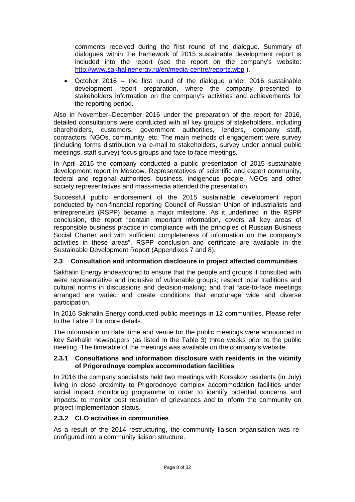comments received during the first round of the dialogue. Summary of dialogues within the framework of 2015 sustainable development report is included into the report (see the report on the company's website: <http://www.sakhalinenergy.ru/en/media-centre/reports.wbp> ).

• October 2016 – the first round of the dialogue under 2016 sustainable development report preparation, where the company presented to stakeholders information on the company's activities and achievements for the reporting period.

Also in November–December 2016 under the preparation of the report for 2016, detailed consultations were conducted with all key groups of stakeholders, including shareholders, customers, government authorities, lenders, company staff, contractors, NGOs, community, etc. The main methods of engagement were survey (including forms distribution via e-mail to stakeholders, survey under annual public meetings, staff survey) focus groups and face to face meetings.

In April 2016 the company conducted a public presentation of 2015 sustainable development report in Moscow. Representatives of scientific and expert community, federal and regional authorities, business, indigenous people, NGOs and other society representatives and mass-media attended the presentation.

Successful public endorsement of the 2015 sustainable development report conducted by non-financial reporting Council of Russian Union of industrialists and entrepreneurs (RSPP) became a major milestone. As it underlined in the RSPP conclusion, the report "contain important information, covers all key areas of responsible business practice in compliance with the principles of Russian Business Social Charter and with sufficient completeness of information on the company's activities in these areas". RSPP conclusion and certificate are available in the Sustainable Development Report (Appendixes 7 and 8).

## <span id="page-7-0"></span>**2.3 Consultation and information disclosure in project affected communities**

Sakhalin Energy endeavoured to ensure that the people and groups it consulted with were representative and inclusive of vulnerable groups; respect local traditions and cultural norms in discussions and decision-making; and that face-to-face meetings arranged are varied and create conditions that encourage wide and diverse participation.

In 2016 Sakhalin Energy conducted public meetings in 12 communities. Please refer to the Table 2 for more details.

The information on date, time and venue for the public meetings were announced in key Sakhalin newspapers (as listed in the Table 3) three weeks prior to the public meeting. The timetable of the meetings was available on the company's website.

#### <span id="page-7-1"></span>**2.3.1 Consultations and information disclosure with residents in the vicinity of Prigorodnoye complex accommodation facilities**

In 2016 the company specialists held two meetings with Korsakov residents (in July) living in close proximity to Prigorodnoye complex accommodation facilities under social impact monitoring programme in order to identify potential concerns and impacts, to monitor post resolution of grievances and to inform the community on project implementation status.

#### <span id="page-7-2"></span>**2.3.2 CLO activities in communities**

As a result of the 2014 restructuring, the community liaison organisation was reconfigured into a community liaison structure.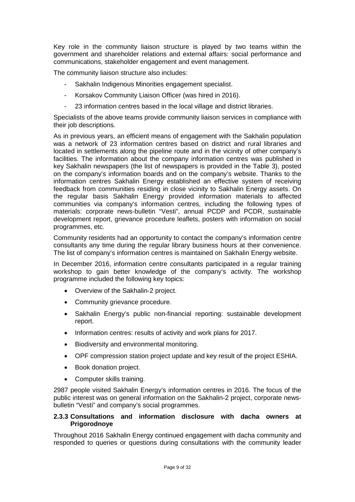Key role in the community liaison structure is played by two teams within the government and shareholder relations and external affairs: social performance and communications, stakeholder engagement and event management.

The community liaison structure also includes:

- Sakhalin Indigenous Minorities engagement specialist.
- Korsakov Community Liaison Officer (was hired in 2016).
- 23 information centres based in the local village and district libraries.

Specialists of the above teams provide community liaison services in compliance with their job descriptions.

As in previous years, an efficient means of engagement with the Sakhalin population was a network of 23 information centres based on district and rural libraries and located in settlements along the pipeline route and in the vicinity of other company's facilities. The information about the company information centres was published in key Sakhalin newspapers (the list of newspapers is provided in the Table 3), posted on the company's information boards and on the company's website. Thanks to the information centres Sakhalin Energy established an effective system of receiving feedback from communities residing in close vicinity to Sakhalin Energy assets. On the regular basis Sakhalin Energy provided information materials to affected communities via company's information centres, including the following types of materials: corporate news-bulletin "Vesti", annual PCDP and PCDR, sustainable development report, grievance procedure leaflets, posters with information on social programmes, etc.

Community residents had an opportunity to contact the company's information centre consultants any time during the regular library business hours at their convenience. The list of company's information centres is maintained on Sakhalin Energy website.

In December 2016, information centre consultants participated in a regular training workshop to gain better knowledge of the company's activity. The workshop programme included the following key topics:

- Overview of the Sakhalin-2 project.
- Community grievance procedure.
- Sakhalin Energy's public non-financial reporting: sustainable development report.
- Information centres: results of activity and work plans for 2017.
- Biodiversity and environmental monitoring.
- OPF compression station project update and key result of the project ESHIA.
- Book donation project.
- Computer skills training.

2987 people visited Sakhalin Energy's information centres in 2016. The focus of the public interest was on general information on the Sakhalin-2 project, corporate newsbulletin "Vesti" and company's social programmes.

#### <span id="page-8-0"></span>**2.3.3 Consultations and information disclosure with dacha owners at Prigorodnoye**

Throughout 2016 Sakhalin Energy continued engagement with dacha community and responded to queries or questions during consultations with the community leader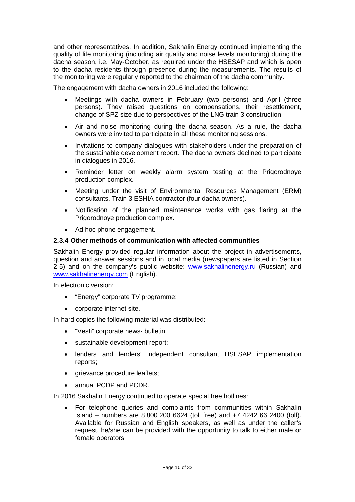and other representatives. In addition, Sakhalin Energy continued implementing the quality of life monitoring (including air quality and noise levels monitoring) during the dacha season, i.e. May-October, as required under the HSESAP and which is open to the dacha residents through presence during the measurements. The results of the monitoring were regularly reported to the chairman of the dacha community.

The engagement with dacha owners in 2016 included the following:

- Meetings with dacha owners in February (two persons) and April (three persons). They raised questions on compensations, their resettlement, change of SPZ size due to perspectives of the LNG train 3 construction.
- Air and noise monitoring during the dacha season. As a rule, the dacha owners were invited to participate in all these monitoring sessions.
- Invitations to company dialogues with stakeholders under the preparation of the sustainable development report. The dacha owners declined to participate in dialogues in 2016.
- Reminder letter on weekly alarm system testing at the Prigorodnoye production complex.
- Meeting under the visit of Environmental Resources Management (ERM) consultants, Train 3 ESHIA contractor (four dacha owners).
- Notification of the planned maintenance works with gas flaring at the Prigorodnoye production complex.
- Ad hoc phone engagement.

#### <span id="page-9-0"></span>**2.3.4 Other methods of communication with affected communities**

Sakhalin Energy provided regular information about the project in advertisements, question and answer sessions and in local media (newspapers are listed in Section 2.5) and on the company's public website: [www.sakhalinenergy.ru](http://www.sakhalinenergy.ru/) (Russian) and [www.sakhalinenergy.com](http://www.sakhalinenergy.com/) (English).

In electronic version:

- "Energy" corporate TV programme;
- corporate internet site.

In hard copies the following material was distributed:

- "Vesti" corporate news- bulletin;
- sustainable development report;
- lenders and lenders' independent consultant HSESAP implementation reports;
- grievance procedure leaflets;
- annual PCDP and PCDR.

In 2016 Sakhalin Energy continued to operate special free hotlines:

• For telephone queries and complaints from communities within Sakhalin Island – numbers are 8 800 200 6624 (toll free) and +7 4242 66 2400 (toll). Available for Russian and English speakers, as well as under the caller's request, he/she can be provided with the opportunity to talk to either male or female operators.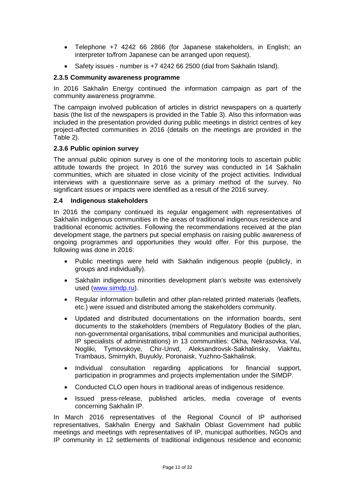- Telephone +7 4242 66 2866 (for Japanese stakeholders, in English; an interpreter to/from Japanese can be arranged upon request).
- Safety issues number is +7 4242 66 2500 (dial from Sakhalin Island).

## <span id="page-10-0"></span>**2.3.5 Community awareness programme**

In 2016 Sakhalin Energy continued the information campaign as part of the community awareness programme.

The campaign involved publication of articles in district newspapers on a quarterly basis (the list of the newspapers is provided in the Table 3). Also this information was included in the presentation provided during public meetings in district centres of key project-affected communities in 2016 (details on the meetings are provided in the Table 2).

#### <span id="page-10-1"></span>**2.3.6 Public opinion survey**

The annual public opinion survey is one of the monitoring tools to ascertain public attitude towards the project. In 2016 the survey was conducted in 14 Sakhalin communities, which are situated in close vicinity of the project activities. Individual interviews with a questionnaire serve as a primary method of the survey. No significant issues or impacts were identified as a result of the 2016 survey.

#### <span id="page-10-2"></span>**2.4 Indigenous stakeholders**

In 2016 the company continued its regular engagement with representatives of Sakhalin indigenous communities in the areas of traditional indigenous residence and traditional economic activities. Following the recommendations received at the plan development stage, the partners put special emphasis on raising public awareness of ongoing programmes and opportunities they would offer. For this purpose, the following was done in 2016:

- Public meetings were held with Sakhalin indigenous people (publicly, in groups and individually).
- Sakhalin indigenous minorities development plan's website was extensively used [\(www.simdp.ru\)](http://www.simdp.ru/).
- Regular information bulletin and other plan-related printed materials (leaflets, etc.) were issued and distributed among the stakeholders community.
- Updated and distributed documentations on the information boards, sent documents to the stakeholders (members of Regulatory Bodies of the plan, non-governmental organisations, tribal communities and municipal authorities, IP specialists of administrations) in 13 communities: Okha, Nekrasovka, Val, Nogliki, Tymovskoye, Chir-Unvd, Aleksandrovsk-Sakhalinsky, Viakhtu, Trambaus, Smirnykh, Buyukly, Poronaisk, Yuzhno-Sakhalinsk.
- Individual consultation regarding applications for financial support, participation in programmes and projects implementation under the SIMDP.
- Conducted CLO open hours in traditional areas of indigenous residence.
- Issued press-release, published articles, media coverage of events concerning Sakhalin IP.

In March 2016 representatives of the Regional Council of IP authorised representatives, Sakhalin Energy and Sakhalin Oblast Government had public meetings and meetings with representatives of IP, municipal authorities, NGOs and IP community in 12 settlements of traditional indigenous residence and economic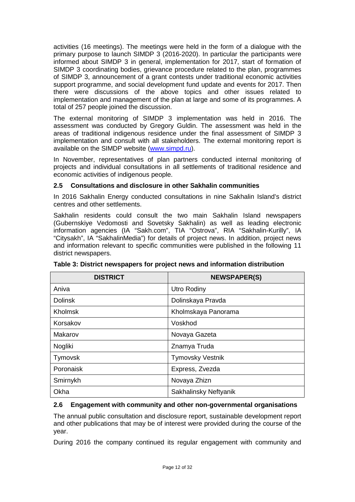activities (16 meetings). The meetings were held in the form of a dialogue with the primary purpose to launch SIMDP 3 (2016-2020). In particular the participants were informed about SIMDP 3 in general, implementation for 2017, start of formation of SIMDP 3 coordinating bodies, grievance procedure related to the plan, programmes of SIMDP 3, announcement of a grant contests under traditional economic activities support programme, and social development fund update and events for 2017. Then there were discussions of the above topics and other issues related to implementation and management of the plan at large and some of its programmes. A total of 257 people joined the discussion.

The external monitoring of SIMDP 3 implementation was held in 2016. The assessment was conducted by Gregory Guldin. The assessment was held in the areas of traditional indigenous residence under the final assessment of SIMDP 3 implementation and consult with all stakeholders. The external monitoring report is available on the SIMDP website [\(www.simpd.ru\)](http://www.simpd.ru/).

In November, representatives of plan partners conducted internal monitoring of projects and individual consultations in all settlements of traditional residence and economic activities of indigenous people.

## <span id="page-11-0"></span>**2.5 Consultations and disclosure in other Sakhalin communities**

In 2016 Sakhalin Energy conducted consultations in nine Sakhalin Island's district centres and other settlements.

Sakhalin residents could consult the two main Sakhalin Island newspapers (Gubernskiye Vedomosti and Sovetsky Sakhalin) as well as leading electronic information agencies (IA "Sakh.com", TIA "Ostrova", RIA "Sakhalin-Kurilly", IA "Citysakh", IA "SakhalinMedia") for details of project news. In addition, project news and information relevant to specific communities were published in the following 11 district newspapers.

| <b>DISTRICT</b> | <b>NEWSPAPER(S)</b>     |
|-----------------|-------------------------|
| Aniva           | Utro Rodiny             |
| <b>Dolinsk</b>  | Dolinskaya Pravda       |
| <b>Kholmsk</b>  | Kholmskaya Panorama     |
| Korsakov        | Voskhod                 |
| Makarov         | Novaya Gazeta           |
| Nogliki         | Znamya Truda            |
| Tymovsk         | <b>Tymovsky Vestnik</b> |
| Poronaisk       | Express, Zvezda         |
| Smirnykh        | Novaya Zhizn            |
| Okha            | Sakhalinsky Neftyanik   |

**Table 3: District newspapers for project news and information distribution**

#### <span id="page-11-1"></span>**2.6 Engagement with community and other non-governmental organisations**

The annual public consultation and disclosure report, sustainable development report and other publications that may be of interest were provided during the course of the year.

During 2016 the company continued its regular engagement with community and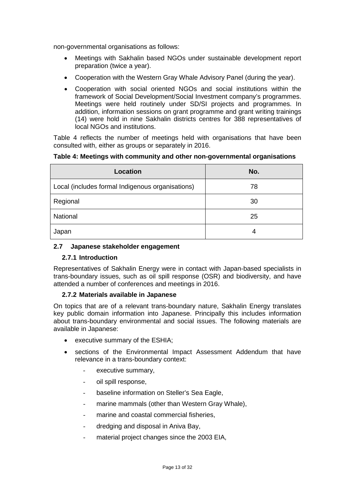non-governmental organisations as follows:

- Meetings with Sakhalin based NGOs under sustainable development report preparation (twice a year).
- Cooperation with the Western Gray Whale Advisory Panel (during the year).
- Cooperation with social oriented NGOs and social institutions within the framework of Social Development/Social Investment company's programmes. Meetings were held routinely under SD/SI projects and programmes. In addition, information sessions on grant programme and grant writing trainings (14) were hold in nine Sakhalin districts centres for 388 representatives of local NGOs and institutions.

Table 4 reflects the number of meetings held with organisations that have been consulted with, either as groups or separately in 2016.

#### **Table 4: Meetings with community and other non-governmental organisations**

| Location                                         | No. |
|--------------------------------------------------|-----|
| Local (includes formal Indigenous organisations) | 78  |
| Regional                                         | 30  |
| National                                         | 25  |
| Japan                                            | 4   |

#### <span id="page-12-0"></span>**2.7 Japanese stakeholder engagement**

#### <span id="page-12-1"></span>**2.7.1 Introduction**

Representatives of Sakhalin Energy were in contact with Japan-based specialists in trans-boundary issues, such as oil spill response (OSR) and biodiversity, and have attended a number of conferences and meetings in 2016.

#### <span id="page-12-2"></span>**2.7.2 Materials available in Japanese**

On topics that are of a relevant trans-boundary nature, Sakhalin Energy translates key public domain information into Japanese. Principally this includes information about trans-boundary environmental and social issues. The following materials are available in Japanese:

- executive summary of the ESHIA;
- sections of the Environmental Impact Assessment Addendum that have relevance in a trans-boundary context:
	- executive summary,
	- oil spill response,
	- baseline information on Steller's Sea Eagle,
	- marine mammals (other than Western Gray Whale),
	- marine and coastal commercial fisheries.
	- dredging and disposal in Aniva Bay,
	- material project changes since the 2003 EIA,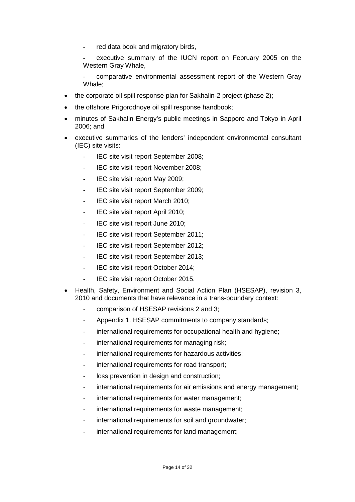- red data book and migratory birds,
- executive summary of the IUCN report on February 2005 on the Western Gray Whale,
- comparative environmental assessment report of the Western Gray Whale;
- the corporate oil spill response plan for Sakhalin-2 project (phase 2);
- the offshore Prigorodnoye oil spill response handbook;
- minutes of Sakhalin Energy's public meetings in Sapporo and Tokyo in April 2006; and
- executive summaries of the lenders' independent environmental consultant (IEC) site visits:
	- IEC site visit report September 2008;
	- IEC site visit report November 2008;
	- IEC site visit report May 2009;
	- IEC site visit report September 2009;
	- IEC site visit report March 2010;
	- IEC site visit report April 2010;
	- IEC site visit report June 2010;
	- IEC site visit report September 2011;
	- IEC site visit report September 2012;
	- IEC site visit report September 2013;
	- IEC site visit report October 2014;
	- IEC site visit report October 2015.
- Health, Safety, Environment and Social Action Plan (HSESAP), revision 3, 2010 and documents that have relevance in a trans-boundary context:
	- comparison of HSESAP revisions 2 and 3;
	- Appendix 1. HSESAP commitments to company standards;
	- international requirements for occupational health and hygiene;
	- international requirements for managing risk;
	- international requirements for hazardous activities;
	- international requirements for road transport;
	- loss prevention in design and construction;
	- international requirements for air emissions and energy management;
	- international requirements for water management;
	- international requirements for waste management;
	- international requirements for soil and groundwater;
	- international requirements for land management;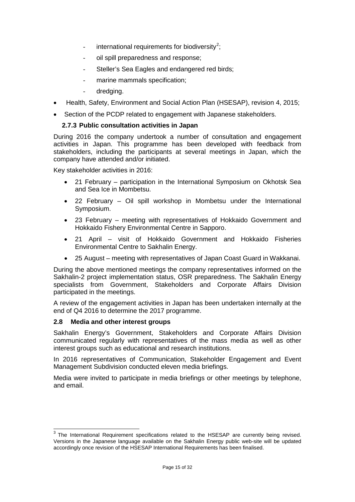- international requirements for biodiversity<sup>[2](#page-14-2)</sup>;
- oil spill preparedness and response;
- Steller's Sea Eagles and endangered red birds;
- marine mammals specification;
- dredging.
- Health, Safety, Environment and Social Action Plan (HSESAP), revision 4, 2015;
- <span id="page-14-0"></span>• Section of the PCDP related to engagement with Japanese stakeholders.

#### **2.7.3 Public consultation activities in Japan**

During 2016 the company undertook a number of consultation and engagement activities in Japan. This programme has been developed with feedback from stakeholders, including the participants at several meetings in Japan, which the company have attended and/or initiated.

Key stakeholder activities in 2016:

- 21 February participation in the International Symposium on Okhotsk Sea and Sea Ice in Mombetsu.
- 22 February Oil spill workshop in Mombetsu under the International Symposium.
- 23 February meeting with representatives of Hokkaido Government and Hokkaido Fishery Environmental Centre in Sapporo.
- 21 April visit of Hokkaido Government and Hokkaido Fisheries Environmental Centre to Sakhalin Energy.
- 25 August meeting with representatives of Japan Coast Guard in Wakkanai.

During the above mentioned meetings the company representatives informed on the Sakhalin-2 project implementation status, OSR preparedness. The Sakhalin Energy specialists from Government, Stakeholders and Corporate Affairs Division participated in the meetings.

A review of the engagement activities in Japan has been undertaken internally at the end of Q4 2016 to determine the 2017 programme.

#### <span id="page-14-1"></span>**2.8 Media and other interest groups**

j

Sakhalin Energy's Government, Stakeholders and Corporate Affairs Division communicated regularly with representatives of the mass media as well as other interest groups such as educational and research institutions.

In 2016 representatives of Communication, Stakeholder Engagement and Event Management Subdivision conducted eleven media briefings.

Media were invited to participate in media briefings or other meetings by telephone, and email.

<span id="page-14-2"></span> $3$  The International Requirement specifications related to the HSESAP are currently being revised. Versions in the Japanese language available on the Sakhalin Energy public web-site will be updated accordingly once revision of the HSESAP International Requirements has been finalised.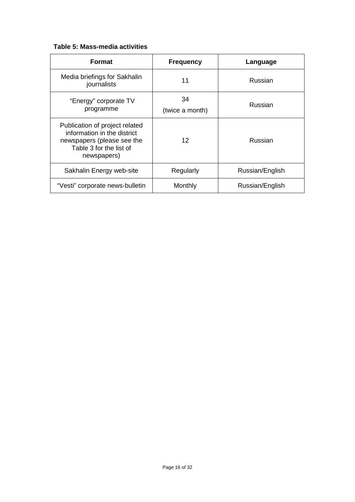# **Table 5: Mass-media activities**

| <b>Format</b>                                                                                                                         | <b>Frequency</b>      | Language        |
|---------------------------------------------------------------------------------------------------------------------------------------|-----------------------|-----------------|
| Media briefings for Sakhalin<br>journalists                                                                                           | 11                    | Russian         |
| "Energy" corporate TV<br>programme                                                                                                    | 34<br>(twice a month) | Russian         |
| Publication of project related<br>information in the district<br>newspapers (please see the<br>Table 3 for the list of<br>newspapers) | 12                    | Russian         |
| Sakhalin Energy web-site                                                                                                              | Regularly             | Russian/English |
| "Vesti" corporate news-bulletin                                                                                                       | Monthly               | Russian/English |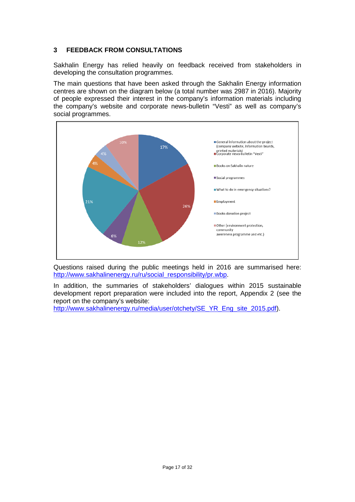# <span id="page-16-0"></span>**3 FEEDBACK FROM CONSULTATIONS**

Sakhalin Energy has relied heavily on feedback received from stakeholders in developing the consultation programmes.

The main questions that have been asked through the Sakhalin Energy information centres are shown on the diagram below (a total number was 2987 in 2016). Majority of people expressed their interest in the company's information materials including the company's website and corporate news-bulletin "Vesti" as well as company's social programmes.



Questions raised during the public meetings held in 2016 are summarised here: [http://www.sakhalinenergy.ru/ru/social\\_responsibility/pr.wbp.](http://www.sakhalinenergy.ru/ru/social_responsibility/pr.wbp)

In addition, the summaries of stakeholders' dialogues within 2015 sustainable development report preparation were included into the report, Appendix 2 (see the report on the company's website:

[http://www.sakhalinenergy.ru/media/user/otchety/SE\\_YR\\_Eng\\_site\\_2015.pdf\)](http://www.sakhalinenergy.ru/media/user/otchety/SE_YR_Eng_site_2015.pdf).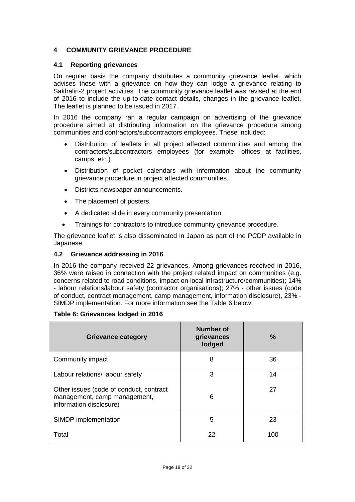# <span id="page-17-0"></span>**4 COMMUNITY GRIEVANCE PROCEDURE**

## <span id="page-17-1"></span>**4.1 Reporting grievances**

On regular basis the company distributes a community grievance leaflet, which advises those with a grievance on how they can lodge a grievance relating to Sakhalin-2 project activities. The community grievance leaflet was revised at the end of 2016 to include the up-to-date contact details, changes in the grievance leaflet. The leaflet is planned to be issued in 2017.

In 2016 the company ran a regular campaign on advertising of the grievance procedure aimed at distributing information on the grievance procedure among communities and contractors/subcontractors employees. These included:

- Distribution of leaflets in all project affected communities and among the contractors/subcontractors employees (for example, offices at facilities, camps, etc.).
- Distribution of pocket calendars with information about the community grievance procedure in project affected communities.
- Districts newspaper announcements.
- The placement of posters.
- A dedicated slide in every community presentation.
- Trainings for contractors to introduce community grievance procedure.

The grievance leaflet is also disseminated in Japan as part of the PCDP available in Japanese.

#### <span id="page-17-2"></span>**4.2 Grievance addressing in 2016**

In 2016 the company received 22 grievances. Among grievances received in 2016, 36% were raised in connection with the project related impact on communities (e.g. concerns related to road conditions, impact on local infrastructure/communities); 14% - labour relations/labour safety (contractor organisations); 27% - other issues (code of conduct, contract management, camp management, information disclosure), 23% - SIMDP implementation. For more information see the Table 6 below:

#### **Table 6: Grievances lodged in 2016**

| <b>Grievance category</b>                                                                          | <b>Number of</b><br>grievances<br>lodged | $\%$ |
|----------------------------------------------------------------------------------------------------|------------------------------------------|------|
| Community impact                                                                                   | 8                                        | 36   |
| Labour relations/ labour safety                                                                    | 3                                        | 14   |
| Other issues (code of conduct, contract<br>management, camp management,<br>information disclosure) | 6                                        | 27   |
| SIMDP implementation                                                                               | 5                                        | 23   |
| Total                                                                                              | 22                                       | 100  |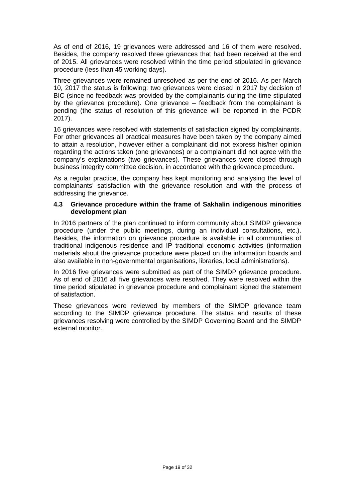As of end of 2016, 19 grievances were addressed and 16 of them were resolved. Besides, the company resolved three grievances that had been received at the end of 2015. All grievances were resolved within the time period stipulated in grievance procedure (less than 45 working days).

Three grievances were remained unresolved as per the end of 2016. As per March 10, 2017 the status is following: two grievances were closed in 2017 by decision of BIC (since no feedback was provided by the complainants during the time stipulated by the grievance procedure). One grievance – feedback from the complainant is pending (the status of resolution of this grievance will be reported in the PCDR 2017).

16 grievances were resolved with statements of satisfaction signed by complainants. For other grievances all practical measures have been taken by the company aimed to attain a resolution, however either a complainant did not express his/her opinion regarding the actions taken (one grievances) or a complainant did not agree with the company's explanations (two grievances). These grievances were closed through business integrity committee decision, in accordance with the grievance procedure.

As a regular practice, the company has kept monitoring and analysing the level of complainants' satisfaction with the grievance resolution and with the process of addressing the grievance.

#### <span id="page-18-0"></span>**4.3 Grievance procedure within the frame of Sakhalin indigenous minorities development plan**

In 2016 partners of the plan continued to inform community about SIMDP grievance procedure (under the public meetings, during an individual consultations, etc.). Besides, the information on grievance procedure is available in all communities of traditional indigenous residence and IP traditional economic activities (information materials about the grievance procedure were placed on the information boards and also available in non-governmental organisations, libraries, local administrations).

In 2016 five grievances were submitted as part of the SIMDP grievance procedure. As of end of 2016 all five grievances were resolved. They were resolved within the time period stipulated in grievance procedure and complainant signed the statement of satisfaction.

These grievances were reviewed by members of the SIMDP grievance team according to the SIMDP grievance procedure. The status and results of these grievances resolving were controlled by the SIMDP Governing Board and the SIMDP external monitor.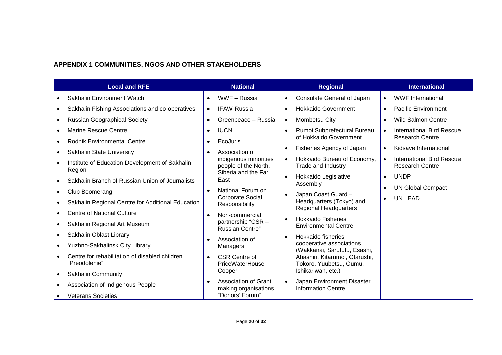# **APPENDIX 1 COMMUNITIES, NGOS AND OTHER STAKEHOLDERS**

<span id="page-19-0"></span>

| <b>Local and RFE</b> |                                                                 |           | <b>National</b>                               |           | <b>Regional</b>                                                          | <b>International</b>                                |
|----------------------|-----------------------------------------------------------------|-----------|-----------------------------------------------|-----------|--------------------------------------------------------------------------|-----------------------------------------------------|
|                      | Sakhalin Environment Watch                                      | $\bullet$ | WWF-Russia                                    | $\bullet$ | <b>Consulate General of Japan</b>                                        | <b>WWF</b> International                            |
| $\bullet$            | Sakhalin Fishing Associations and co-operatives                 | $\bullet$ | <b>IFAW-Russia</b>                            | $\bullet$ | <b>Hokkaido Government</b>                                               | <b>Pacific Environment</b>                          |
| $\bullet$            | <b>Russian Geographical Society</b>                             | $\bullet$ | Greenpeace - Russia                           | $\bullet$ | Mombetsu City                                                            | <b>Wild Salmon Centre</b>                           |
|                      | <b>Marine Rescue Centre</b>                                     | $\bullet$ | <b>IUCN</b>                                   | $\bullet$ | Rumoi Subprefectural Bureau                                              | <b>International Bird Rescue</b>                    |
|                      | <b>Rodnik Environmental Centre</b>                              | $\bullet$ | <b>EcoJuris</b>                               |           | of Hokkaido Government                                                   | <b>Research Centre</b>                              |
|                      | <b>Sakhalin State University</b>                                | $\bullet$ | Association of                                | $\bullet$ | Fisheries Agency of Japan                                                | Kidsave International                               |
|                      | Institute of Education Development of Sakhalin<br>Region        |           | indigenous minorities<br>people of the North, |           | Hokkaido Bureau of Economy,<br>Trade and Industry                        | International Bird Rescue<br><b>Research Centre</b> |
| $\bullet$            | Sakhalin Branch of Russian Union of Journalists                 |           | Siberia and the Far<br>East                   | $\bullet$ | Hokkaido Legislative<br>Assembly                                         | <b>UNDP</b>                                         |
| $\bullet$            | Club Boomerang                                                  | $\bullet$ | National Forum on                             | $\bullet$ |                                                                          | <b>UN Global Compact</b>                            |
|                      | Sakhalin Regional Centre for Additional Education               |           | <b>Corporate Social</b><br>Responsibility     |           | Japan Coast Guard -<br>Headquarters (Tokyo) and<br>Regional Headquarters | <b>UN LEAD</b>                                      |
|                      | <b>Centre of National Culture</b>                               | $\bullet$ | Non-commercial                                |           |                                                                          |                                                     |
| $\bullet$            | Sakhalin Regional Art Museum                                    |           | partnership "CSR -<br><b>Russian Centre"</b>  | $\bullet$ | <b>Hokkaido Fisheries</b><br><b>Environmental Centre</b>                 |                                                     |
|                      | Sakhalin Oblast Library                                         | $\bullet$ | Association of                                | $\bullet$ | Hokkaido fisheries                                                       |                                                     |
|                      | Yuzhno-Sakhalinsk City Library                                  |           | Managers                                      |           | cooperative associations<br>(Wakkanai, Sarufutu, Esashi,                 |                                                     |
|                      | Centre for rehabilitation of disabled children<br>"Preodolenie" | $\bullet$ | <b>CSR Centre of</b><br>PriceWaterHouse       |           | Abashiri, Kitarumoi, Otarushi,<br>Tokoro, Yuubetsu, Oumu,                |                                                     |
| $\bullet$            | <b>Sakhalin Community</b>                                       |           | Cooper                                        |           | Ishikariwan, etc.)                                                       |                                                     |
|                      | Association of Indigenous People                                |           | Association of Grant<br>making organisations  | $\bullet$ | Japan Environment Disaster<br><b>Information Centre</b>                  |                                                     |
|                      | <b>Veterans Societies</b>                                       |           | "Donors' Forum"                               |           |                                                                          |                                                     |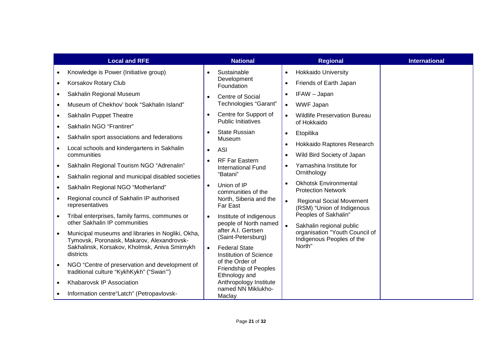|           | <b>Local and RFE</b>                                                                            |                    | <b>National</b>                                    |                                           | <b>Regional</b>                                            | <b>International</b> |                                                               |  |
|-----------|-------------------------------------------------------------------------------------------------|--------------------|----------------------------------------------------|-------------------------------------------|------------------------------------------------------------|----------------------|---------------------------------------------------------------|--|
|           | Knowledge is Power (Initiative group)                                                           |                    | Sustainable                                        | $\bullet$                                 | <b>Hokkaido University</b>                                 |                      |                                                               |  |
| $\bullet$ | Korsakov Rotary Club                                                                            |                    | Development<br>Foundation                          | $\bullet$                                 | Friends of Earth Japan                                     |                      |                                                               |  |
|           | Sakhalin Regional Museum                                                                        | $\bullet$          | Centre of Social                                   |                                           | IFAW - Japan                                               |                      |                                                               |  |
|           | Museum of Chekhov' book "Sakhalin Island"                                                       |                    | Technologies "Garant"                              | $\bullet$                                 | <b>WWF Japan</b>                                           |                      |                                                               |  |
|           | Sakhalin Puppet Theatre                                                                         | $\bullet$          | Centre for Support of<br><b>Public Initiatives</b> |                                           | <b>Wildlife Preservation Bureau</b>                        |                      |                                                               |  |
|           | Sakhalin NGO "Frantirer"                                                                        |                    | <b>State Russian</b>                               |                                           | of Hokkaido                                                |                      |                                                               |  |
|           | Sakhalin sport associations and federations                                                     |                    | Museum                                             | $\bullet$                                 | Etopilika                                                  |                      |                                                               |  |
|           | Local schools and kindergartens in Sakhalin                                                     | $\bullet$          | <b>ASI</b>                                         | $\bullet$                                 | Hokkaido Raptores Research                                 |                      |                                                               |  |
|           | communities                                                                                     | $\bullet$          | RF Far Eastern                                     |                                           | Wild Bird Society of Japan                                 |                      |                                                               |  |
|           | Sakhalin Regional Tourism NGO "Adrenalin"                                                       |                    | <b>International Fund</b><br>"Batani"              |                                           | Yamashina Institute for<br>Ornithology                     |                      |                                                               |  |
| $\bullet$ | Sakhalin regional and municipal disabled societies                                              |                    | Union of IP<br>$\bullet$<br>communities of the     | $\bullet$                                 | <b>Okhotsk Environmental</b>                               |                      |                                                               |  |
|           | Sakhalin Regional NGO "Motherland"                                                              |                    |                                                    |                                           | <b>Protection Network</b>                                  |                      |                                                               |  |
|           | Regional council of Sakhalin IP authorised<br>representatives                                   |                    |                                                    | North, Siberia and the<br><b>Far East</b> |                                                            |                      | <b>Regional Social Movement</b><br>(RSM) "Union of Indigenous |  |
|           | Tribal enterprises, family farms, communes or<br>other Sakhalin IP communities                  |                    | Institute of indigenous                            |                                           | Peoples of Sakhalin"                                       |                      |                                                               |  |
|           |                                                                                                 |                    | people of North named<br>after A.I. Gertsen        |                                           | Sakhalin regional public<br>organisation "Youth Council of |                      |                                                               |  |
|           | Municipal museums and libraries in Nogliki, Okha,<br>Tymovsk, Poronaisk, Makarov, Alexandrovsk- | (Saint-Petersburg) |                                                    | Indigenous Peoples of the                 |                                                            |                      |                                                               |  |
|           | Sakhalinsk, Korsakov, Kholmsk, Aniva Smirnykh<br>districts                                      | $\bullet$          | <b>Federal State</b><br>Institution of Science     | North"                                    |                                                            |                      |                                                               |  |
|           | NGO "Centre of preservation and development of                                                  |                    | of the Order of                                    |                                           |                                                            |                      |                                                               |  |
|           | traditional culture "KykhKykh" ("Swan"")                                                        |                    | <b>Friendship of Peoples</b><br>Ethnology and      |                                           |                                                            |                      |                                                               |  |
|           | Khabarovsk IP Association                                                                       |                    | Anthropology Institute<br>named NN Miklukho-       |                                           |                                                            |                      |                                                               |  |
|           | Information centre "Latch" (Petropavlovsk-                                                      |                    | Maclay                                             |                                           |                                                            |                      |                                                               |  |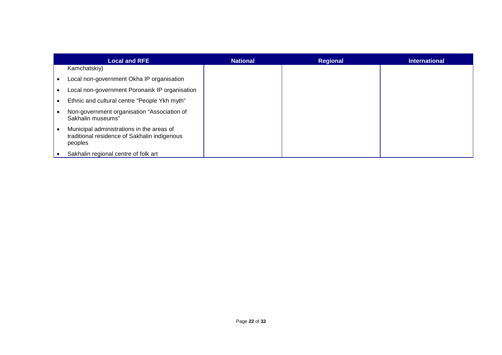| <b>Local and RFE</b>                                                                                 | <b>National</b> | <b>Regional</b> | International |
|------------------------------------------------------------------------------------------------------|-----------------|-----------------|---------------|
| Kamchatskiy)                                                                                         |                 |                 |               |
| Local non-government Okha IP organisation                                                            |                 |                 |               |
| Local non-government Poronaisk IP organisation                                                       |                 |                 |               |
| Ethnic and cultural centre "People Ykh myth"                                                         |                 |                 |               |
| Non-government organisation "Association of<br>Sakhalin museums"                                     |                 |                 |               |
| Municipal administrations in the areas of<br>traditional residence of Sakhalin indigenous<br>peoples |                 |                 |               |
| Sakhalin regional centre of folk art                                                                 |                 |                 |               |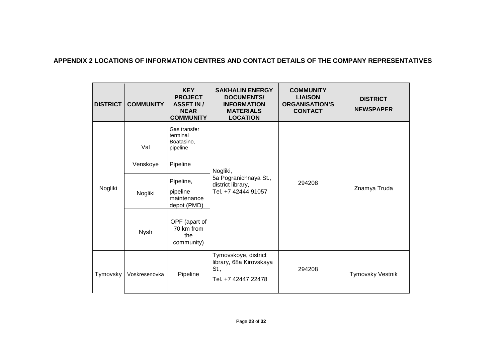## **APPENDIX 2 LOCATIONS OF INFORMATION CENTRES AND CONTACT DETAILS OF THE COMPANY REPRESENTATIVES**

<span id="page-22-0"></span>

| <b>DISTRICT</b> | <b>COMMUNITY</b> | <b>KEY</b><br><b>PROJECT</b><br><b>ASSET IN /</b><br><b>NEAR</b><br><b>COMMUNITY</b> | <b>SAKHALIN ENERGY</b><br><b>DOCUMENTS/</b><br><b>INFORMATION</b><br><b>MATERIALS</b><br><b>LOCATION</b> | <b>COMMUNITY</b><br><b>LIAISON</b><br><b>ORGANISATION'S</b><br><b>CONTACT</b> | <b>DISTRICT</b><br><b>NEWSPAPER</b> |
|-----------------|------------------|--------------------------------------------------------------------------------------|----------------------------------------------------------------------------------------------------------|-------------------------------------------------------------------------------|-------------------------------------|
|                 | Val              | Gas transfer<br>terminal<br>Boatasino,<br>pipeline                                   |                                                                                                          |                                                                               | Znamya Truda                        |
|                 | Venskoye         | Pipeline                                                                             | Nogliki,                                                                                                 | 294208                                                                        |                                     |
| Nogliki         | Nogliki          | Pipeline,<br>pipeline<br>maintenance<br>depot (PMD)                                  | 5a Pogranichnaya St.,<br>district library,<br>Tel. +7 42444 91057                                        |                                                                               |                                     |
|                 | Nysh             | OPF (apart of<br>70 km from<br>the<br>community)                                     |                                                                                                          |                                                                               |                                     |
| Tymovsky        | Voskresenovka    | Pipeline                                                                             | Tymovskoye, district<br>library, 68a Kirovskaya<br>St.,<br>Tel. +7 42447 22478                           | 294208                                                                        | <b>Tymovsky Vestnik</b>             |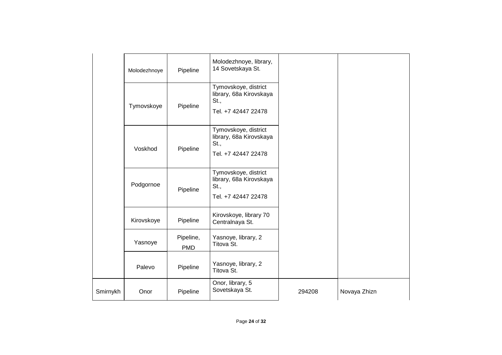|          | Molodezhnoye | Pipeline                | Molodezhnoye, library,<br>14 Sovetskaya St.                                    |        |              |
|----------|--------------|-------------------------|--------------------------------------------------------------------------------|--------|--------------|
|          | Tymovskoye   | Pipeline                | Tymovskoye, district<br>library, 68a Kirovskaya<br>St.,<br>Tel. +7 42447 22478 |        |              |
|          | Voskhod      | Pipeline                | Tymovskoye, district<br>library, 68a Kirovskaya<br>St.,<br>Tel. +7 42447 22478 |        |              |
|          | Podgornoe    | Pipeline                | Tymovskoye, district<br>library, 68a Kirovskaya<br>St.,<br>Tel. +7 42447 22478 |        |              |
|          | Kirovskoye   | Pipeline                | Kirovskoye, library 70<br>Centralnaya St.                                      |        |              |
|          | Yasnoye      | Pipeline,<br><b>PMD</b> | Yasnoye, library, 2<br>Titova St.                                              |        |              |
|          | Palevo       | Pipeline                | Yasnoye, library, 2<br>Titova St.                                              |        |              |
| Smirnykh | Onor         | Pipeline                | Onor, library, 5<br>Sovetskaya St.                                             | 294208 | Novaya Zhizn |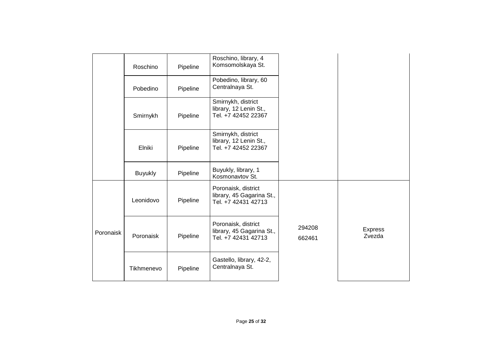|           | Roschino       | Pipeline | Roschino, library, 4<br>Komsomolskaya St.                               |                  |                          |
|-----------|----------------|----------|-------------------------------------------------------------------------|------------------|--------------------------|
|           | Pobedino       | Pipeline | Pobedino, library, 60<br>Centralnaya St.                                |                  |                          |
|           | Smirnykh       | Pipeline | Smirnykh, district<br>library, 12 Lenin St.,<br>Tel. +7 42452 22367     |                  |                          |
|           | Elniki         | Pipeline | Smirnykh, district<br>library, 12 Lenin St.,<br>Tel. +7 42452 22367     |                  |                          |
|           | <b>Buyukly</b> | Pipeline | Buyukly, library, 1<br>Kosmonavtov St.                                  |                  |                          |
|           | Leonidovo      | Pipeline | Poronaisk, district<br>library, 45 Gagarina St.,<br>Tel. +7 42431 42713 |                  |                          |
| Poronaisk | Poronaisk      | Pipeline | Poronaisk, district<br>library, 45 Gagarina St.,<br>Tel. +7 42431 42713 | 294208<br>662461 | <b>Express</b><br>Zvezda |
|           | Tikhmenevo     | Pipeline | Gastello, library, 42-2,<br>Centralnaya St.                             |                  |                          |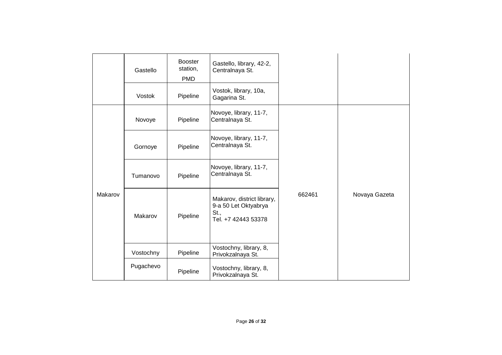|         | Gastello  | <b>Booster</b><br>station,<br><b>PMD</b> | Gastello, library, 42-2,<br>Centralnaya St.                                       |        |               |
|---------|-----------|------------------------------------------|-----------------------------------------------------------------------------------|--------|---------------|
|         |           |                                          |                                                                                   |        |               |
|         | Vostok    | Pipeline                                 | Vostok, library, 10a,<br>Gagarina St.                                             |        |               |
|         | Novoye    | Pipeline                                 | Novoye, library, 11-7,<br>Centralnaya St.                                         |        |               |
|         | Gornoye   | Pipeline                                 | Novoye, library, 11-7,<br>Centralnaya St.                                         |        |               |
|         | Tumanovo  | Pipeline                                 | Novoye, library, 11-7,<br>Centralnaya St.                                         |        |               |
| Makarov | Makarov   | Pipeline                                 | Makarov, district library,<br>9-a 50 Let Oktyabrya<br>St.,<br>Tel. +7 42443 53378 | 662461 | Novaya Gazeta |
|         | Vostochny | Pipeline                                 | Vostochny, library, 8,<br>Privokzalnaya St.                                       |        |               |
|         | Pugachevo | Pipeline                                 | Vostochny, library, 8,<br>Privokzalnaya St.                                       |        |               |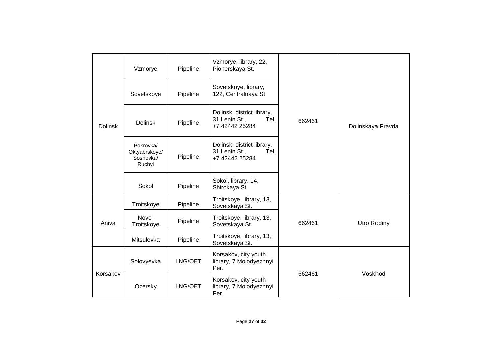|                | Vzmorye                                           | Pipeline | Vzmorye, library, 22,<br>Pionerskaya St.                              |        |                   |  |
|----------------|---------------------------------------------------|----------|-----------------------------------------------------------------------|--------|-------------------|--|
|                | Sovetskoye                                        | Pipeline | Sovetskoye, library,<br>122, Centralnaya St.                          |        |                   |  |
| <b>Dolinsk</b> | <b>Dolinsk</b>                                    | Pipeline | Dolinsk, district library,<br>31 Lenin St.,<br>Tel.<br>+7 42442 25284 | 662461 | Dolinskaya Pravda |  |
|                | Pokrovka/<br>Oktyabrskoye/<br>Sosnovka/<br>Ruchyi | Pipeline | Dolinsk, district library,<br>31 Lenin St.,<br>Tel.<br>+7 42442 25284 |        |                   |  |
|                | Sokol                                             | Pipeline | Sokol, library, 14,<br>Shirokaya St.                                  |        |                   |  |
|                | Troitskoye                                        | Pipeline | Troitskoye, library, 13,<br>Sovetskaya St.                            |        | Utro Rodiny       |  |
| Aniva          | Novo-<br>Troitskoye                               | Pipeline | Troitskoye, library, 13,<br>Sovetskaya St.                            | 662461 |                   |  |
|                | Mitsulevka                                        | Pipeline | Troitskoye, library, 13,<br>Sovetskaya St.                            |        |                   |  |
|                | Solovyevka                                        | LNG/OET  | Korsakov, city youth<br>library, 7 Molodyezhnyi<br>Per.               |        |                   |  |
| Korsakov       | Ozersky                                           | LNG/OET  | Korsakov, city youth<br>library, 7 Molodyezhnyi<br>Per.               | 662461 | Voskhod           |  |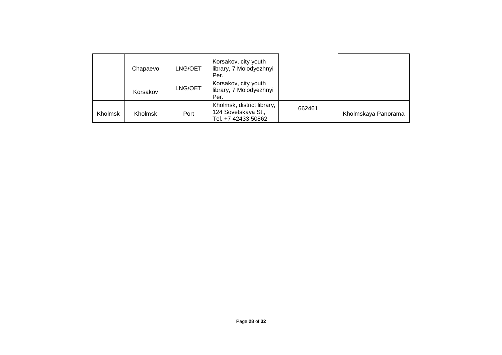|         | Chapaevo       | LNG/OET | Korsakov, city youth<br>library, 7 Molodyezhnyi<br>Per.                  |        |                     |
|---------|----------------|---------|--------------------------------------------------------------------------|--------|---------------------|
|         | Korsakov       | LNG/OET | Korsakov, city youth<br>library, 7 Molodyezhnyi<br>Per.                  |        |                     |
| Kholmsk | <b>Kholmsk</b> | Port    | Kholmsk, district library,<br>124 Sovetskaya St.,<br>Tel. +7 42433 50862 | 662461 | Kholmskaya Panorama |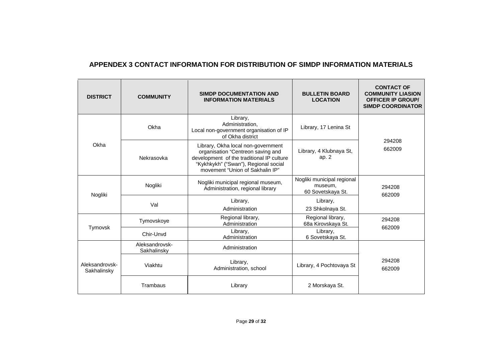# **APPENDEX 3 CONTACT INFORMATION FOR DISTRIBUTION OF SIMDP INFORMATION MATERIALS**

<span id="page-28-0"></span>

| <b>DISTRICT</b>               | <b>COMMUNITY</b>              | <b>SIMDP DOCUMENTATION AND</b><br><b>INFORMATION MATERIALS</b>                                                                                                                                  | <b>BULLETIN BOARD</b><br><b>LOCATION</b>                                | <b>CONTACT OF</b><br><b>COMMUNITY LIASION</b><br><b>OFFICER IP GROUP/</b><br><b>SIMDP COORDINATOR</b> |
|-------------------------------|-------------------------------|-------------------------------------------------------------------------------------------------------------------------------------------------------------------------------------------------|-------------------------------------------------------------------------|-------------------------------------------------------------------------------------------------------|
|                               | Okha                          | Library,<br>Administration.<br>Local non-government organisation of IP<br>of Okha district                                                                                                      | Library, 17 Lenina St                                                   |                                                                                                       |
| Okha                          | Nekrasovka                    | Library, Okha local non-government<br>organisation "Centreon saving and<br>development of the traditional IP culture<br>"Kykhkykh" ("Swan"), Regional social<br>movement "Union of Sakhalin IP" | Library, 4 Klubnaya St,<br>ap. $2$                                      | 294208<br>662009                                                                                      |
| Nogliki                       | Nogliki                       | Nogliki municipal regional museum,<br>Administration, regional library                                                                                                                          | Nogliki municipal regional<br>museum,<br>60 Sovetskaya St.              | 294208<br>662009                                                                                      |
|                               | Val                           | Library,<br>Administration                                                                                                                                                                      | Library,<br>23 Shkolnaya St.                                            |                                                                                                       |
| Tymovsk                       | Tymovskoye<br>Chir-Unvd       | Regional library,<br>Administration<br>Library,<br>Administration                                                                                                                               | Regional library,<br>68a Kirovskaya St.<br>Library,<br>6 Sovetskaya St. | 294208<br>662009                                                                                      |
|                               | Aleksandrovsk-<br>Sakhalinsky | Administration                                                                                                                                                                                  |                                                                         |                                                                                                       |
| Aleksandrovsk-<br>Sakhalinsky | Viakhtu                       | Library,<br>Administration, school                                                                                                                                                              | Library, 4 Pochtovaya St                                                | 294208<br>662009                                                                                      |
|                               | Trambaus                      | Library                                                                                                                                                                                         | 2 Morskaya St.                                                          |                                                                                                       |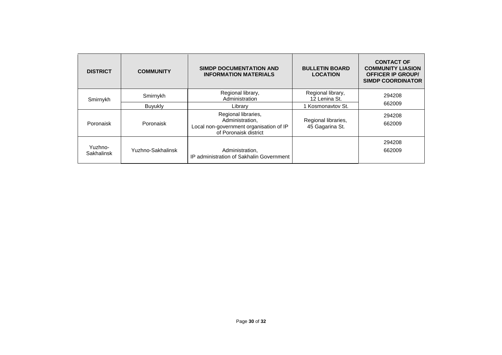| <b>DISTRICT</b>       | <b>COMMUNITY</b>  | <b>SIMDP DOCUMENTATION AND</b><br><b>INFORMATION MATERIALS</b>                                             | <b>BULLETIN BOARD</b><br><b>LOCATION</b> | <b>CONTACT OF</b><br><b>COMMUNITY LIASION</b><br><b>OFFICER IP GROUP/</b><br><b>SIMDP COORDINATOR</b> |  |
|-----------------------|-------------------|------------------------------------------------------------------------------------------------------------|------------------------------------------|-------------------------------------------------------------------------------------------------------|--|
| Smirnykh              | Smirnykh          | Regional library,<br>Administration                                                                        | Regional library,<br>12 Lenina St.       | 294208                                                                                                |  |
|                       | Buyukly           | Library                                                                                                    | 1 Kosmonavtov St.                        | 662009                                                                                                |  |
| Poronaisk             | Poronaisk         | Regional libraries,<br>Administration,<br>Local non-government organisation of IP<br>of Poronaisk district | Regional libraries,<br>45 Gagarina St.   | 294208<br>662009                                                                                      |  |
| Yuzhno-<br>Sakhalinsk | Yuzhno-Sakhalinsk | Administration,<br>IP administration of Sakhalin Government                                                |                                          | 294208<br>662009                                                                                      |  |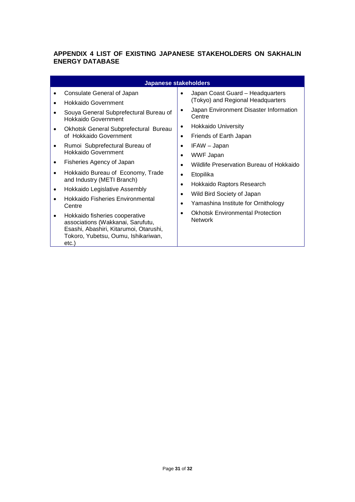## <span id="page-30-0"></span>**APPENDIX 4 LIST OF EXISTING JAPANESE STAKEHOLDERS ON SAKHALIN ENERGY DATABASE**

|                                                                                                                                                                                                                                                                                                                                                                                                                                                                                                                                                                                                                 | <b>Japanese stakeholders</b>                                                                                                                                                                                                                                                                                                                                                                                                         |
|-----------------------------------------------------------------------------------------------------------------------------------------------------------------------------------------------------------------------------------------------------------------------------------------------------------------------------------------------------------------------------------------------------------------------------------------------------------------------------------------------------------------------------------------------------------------------------------------------------------------|--------------------------------------------------------------------------------------------------------------------------------------------------------------------------------------------------------------------------------------------------------------------------------------------------------------------------------------------------------------------------------------------------------------------------------------|
| Consulate General of Japan<br><b>Hokkaido Government</b><br>Souya General Subprefectural Bureau of<br>Hokkaido Government<br>Okhotsk General Subprefectural Bureau<br>of Hokkaido Government<br>Rumoi Subprefectural Bureau of<br>٠<br>Hokkaido Government<br>Fisheries Agency of Japan<br>Hokkaido Bureau of Economy, Trade<br>and Industry (METI Branch)<br>Hokkaido Legislative Assembly<br>٠<br>Hokkaido Fisheries Environmental<br>Centre<br>Hokkaido fisheries cooperative<br>associations (Wakkanai, Sarufutu,<br>Esashi, Abashiri, Kitarumoi, Otarushi,<br>Tokoro, Yubetsu, Oumu, Ishikariwan,<br>etc.) | Japan Coast Guard - Headquarters<br>(Tokyo) and Regional Headquarters<br>Japan Environment Disaster Information<br>Centre<br>Hokkaido University<br>٠<br>Friends of Earth Japan<br>IFAW - Japan<br>WWF Japan<br>Wildlife Preservation Bureau of Hokkaido<br>Etopilika<br>Hokkaido Raptors Research<br>Wild Bird Society of Japan<br>Yamashina Institute for Ornithology<br><b>Okhotsk Environmental Protection</b><br><b>Network</b> |